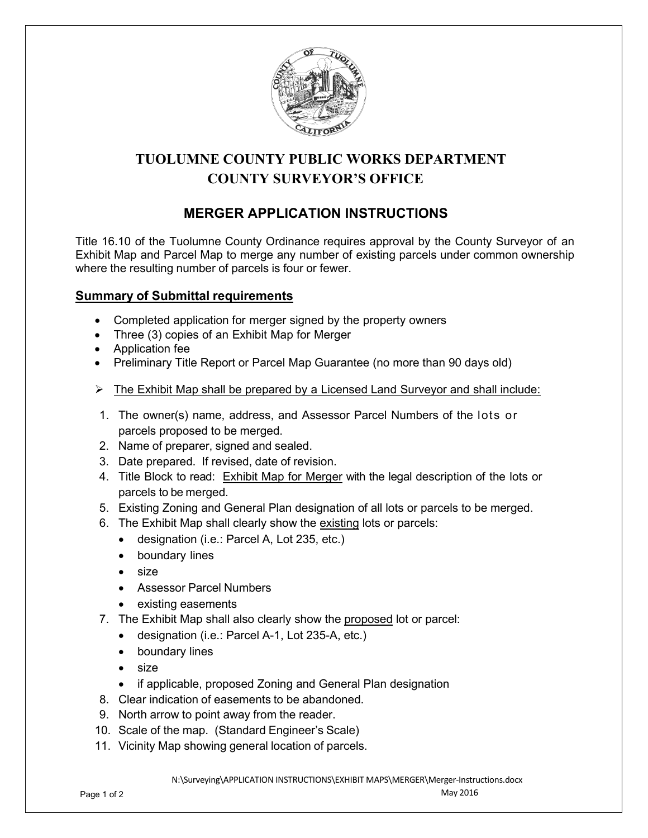

# **TUOLUMNE COUNTY PUBLIC WORKS DEPARTMENT COUNTY SURVEYOR'S OFFICE**

## **MERGER APPLICATION INSTRUCTIONS**

Title 16.10 of the Tuolumne County Ordinance requires approval by the County Surveyor of an Exhibit Map and Parcel Map to merge any number of existing parcels under common ownership where the resulting number of parcels is four or fewer.

## **Summary of Submittal requirements**

- Completed application for merger signed by the property owners
- Three (3) copies of an Exhibit Map for Merger
- Application fee
- Preliminary Title Report or Parcel Map Guarantee (no more than 90 days old)
- $\triangleright$  The Exhibit Map shall be prepared by a Licensed Land Surveyor and shall include:
- 1. The owner(s) name, address, and Assessor Parcel Numbers of the lots or parcels proposed to be merged.
- 2. Name of preparer, signed and sealed.
- 3. Date prepared. If revised, date of revision.
- 4. Title Block to read: Exhibit Map for Merger with the legal description of the lots or parcels to be merged.
- 5. Existing Zoning and General Plan designation of all lots or parcels to be merged.
- 6. The Exhibit Map shall clearly show the existing lots or parcels:
	- designation (i.e.: Parcel A, Lot 235, etc.)
	- boundary lines
	- size
	- Assessor Parcel Numbers
	- existing easements
- 7. The Exhibit Map shall also clearly show the proposed lot or parcel:
	- designation (i.e.: Parcel A-1, Lot 235-A, etc.)
	- boundary lines
	- size
	- if applicable, proposed Zoning and General Plan designation
- 8. Clear indication of easements to be abandoned.
- 9. North arrow to point away from the reader.
- 10. Scale of the map. (Standard Engineer's Scale)
- 11. Vicinity Map showing general location of parcels.